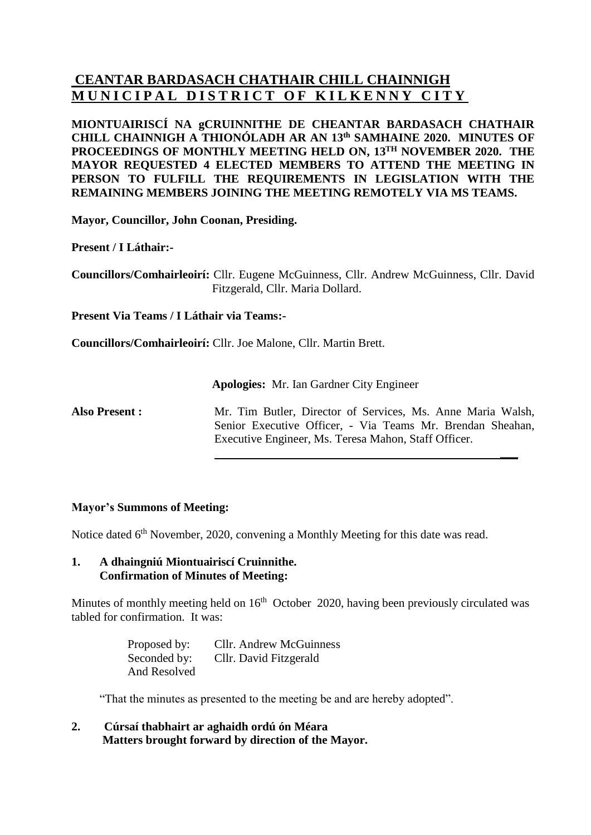# **CEANTAR BARDASACH CHATHAIR CHILL CHAINNIGH MUNICIPAL DISTRICT OF KILKENNY CITY**

**MIONTUAIRISCÍ NA gCRUINNITHE DE CHEANTAR BARDASACH CHATHAIR CHILL CHAINNIGH A THIONÓLADH AR AN 13 th SAMHAINE 2020. MINUTES OF PROCEEDINGS OF MONTHLY MEETING HELD ON, 13 TH NOVEMBER 2020. THE MAYOR REQUESTED 4 ELECTED MEMBERS TO ATTEND THE MEETING IN PERSON TO FULFILL THE REQUIREMENTS IN LEGISLATION WITH THE REMAINING MEMBERS JOINING THE MEETING REMOTELY VIA MS TEAMS.**

**Mayor, Councillor, John Coonan, Presiding.**

**Present / I Láthair:-**

**Councillors/Comhairleoirí:** Cllr. Eugene McGuinness, Cllr. Andrew McGuinness, Cllr. David Fitzgerald, Cllr. Maria Dollard.

**Present Via Teams / I Láthair via Teams:-**

**Councillors/Comhairleoirí:** Cllr. Joe Malone, Cllr. Martin Brett.

**Apologies:** Mr. Ian Gardner City Engineer

**Also Present :** Mr. Tim Butler, Director of Services, Ms. Anne Maria Walsh, Senior Executive Officer, - Via Teams Mr. Brendan Sheahan, Executive Engineer, Ms. Teresa Mahon, Staff Officer.

**\_\_\_**

# **Mayor's Summons of Meeting:**

Notice dated 6<sup>th</sup> November, 2020, convening a Monthly Meeting for this date was read.

#### **1. A dhaingniú Miontuairiscí Cruinnithe. Confirmation of Minutes of Meeting:**

Minutes of monthly meeting held on 16<sup>th</sup> October 2020, having been previously circulated was tabled for confirmation. It was:

| Proposed by: | <b>Cllr.</b> Andrew McGuinness |
|--------------|--------------------------------|
| Seconded by: | Cllr. David Fitzgerald         |
| And Resolved |                                |

"That the minutes as presented to the meeting be and are hereby adopted".

**2. Cúrsaí thabhairt ar aghaidh ordú ón Méara Matters brought forward by direction of the Mayor.**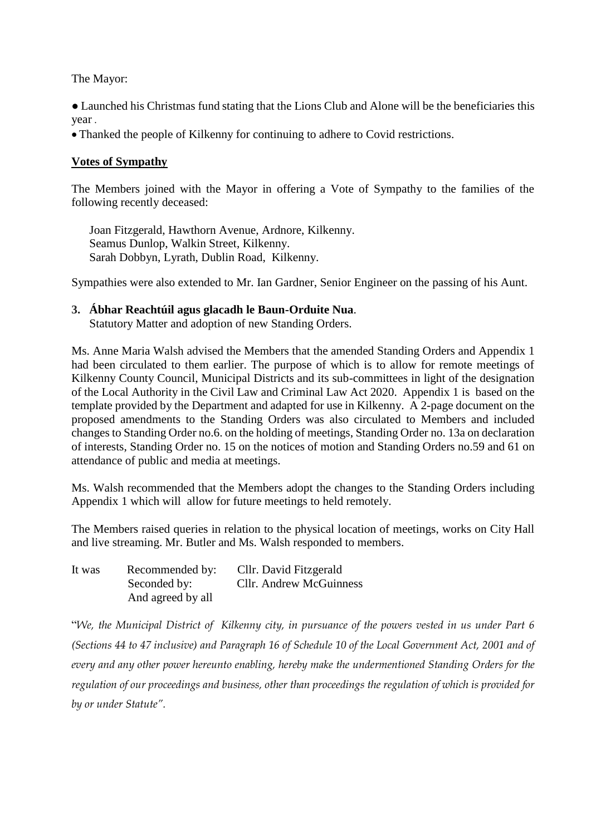The Mayor:

● Launched his Christmas fund stating that the Lions Club and Alone will be the beneficiaries this year .

• Thanked the people of Kilkenny for continuing to adhere to Covid restrictions.

# **Votes of Sympathy**

The Members joined with the Mayor in offering a Vote of Sympathy to the families of the following recently deceased:

Joan Fitzgerald, Hawthorn Avenue, Ardnore, Kilkenny. Seamus Dunlop, Walkin Street, Kilkenny. Sarah Dobbyn, Lyrath, Dublin Road, Kilkenny.

Sympathies were also extended to Mr. Ian Gardner, Senior Engineer on the passing of his Aunt.

## **3. Ábhar Reachtúil agus glacadh le Baun-Orduite Nua**.

Statutory Matter and adoption of new Standing Orders.

Ms. Anne Maria Walsh advised the Members that the amended Standing Orders and Appendix 1 had been circulated to them earlier. The purpose of which is to allow for remote meetings of Kilkenny County Council, Municipal Districts and its sub-committees in light of the designation of the Local Authority in the Civil Law and Criminal Law Act 2020. Appendix 1 is based on the template provided by the Department and adapted for use in Kilkenny. A 2-page document on the proposed amendments to the Standing Orders was also circulated to Members and included changes to Standing Order no.6. on the holding of meetings, Standing Order no. 13a on declaration of interests, Standing Order no. 15 on the notices of motion and Standing Orders no.59 and 61 on attendance of public and media at meetings.

Ms. Walsh recommended that the Members adopt the changes to the Standing Orders including Appendix 1 which will allow for future meetings to held remotely.

The Members raised queries in relation to the physical location of meetings, works on City Hall and live streaming. Mr. Butler and Ms. Walsh responded to members.

| It was | Recommended by:   | Cllr. David Fitzgerald         |
|--------|-------------------|--------------------------------|
|        | Seconded by:      | <b>Cllr.</b> Andrew McGuinness |
|        | And agreed by all |                                |

"*We, the Municipal District of Kilkenny city, in pursuance of the powers vested in us under Part 6 (Sections 44 to 47 inclusive) and Paragraph 16 of Schedule 10 of the Local Government Act, 2001 and of every and any other power hereunto enabling, hereby make the undermentioned Standing Orders for the regulation of our proceedings and business, other than proceedings the regulation of which is provided for by or under Statute".*